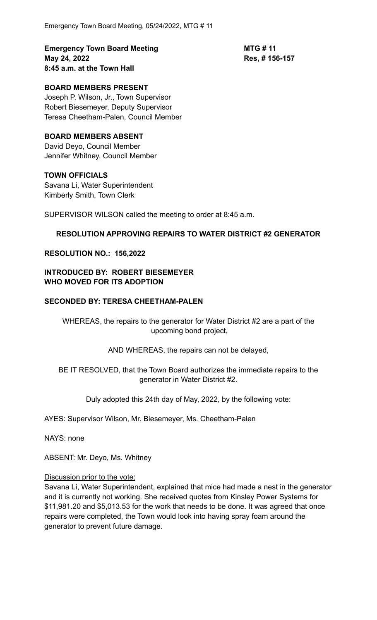**Emergency Town Board Meeting <b>MTG # 11 May 24, 2022 Res, # 156-157 8:45 a.m. at the Town Hall**

# **BOARD MEMBERS PRESENT**

Joseph P. Wilson, Jr., Town Supervisor Robert Biesemeyer, Deputy Supervisor Teresa Cheetham-Palen, Council Member

### **BOARD MEMBERS ABSENT**

David Deyo, Council Member Jennifer Whitney, Council Member

### **TOWN OFFICIALS**

Savana Li, Water Superintendent Kimberly Smith, Town Clerk

SUPERVISOR WILSON called the meeting to order at 8:45 a.m.

### **RESOLUTION APPROVING REPAIRS TO WATER DISTRICT #2 GENERATOR**

#### **RESOLUTION NO.: 156,2022**

## **INTRODUCED BY: ROBERT BIESEMEYER WHO MOVED FOR ITS ADOPTION**

### **SECONDED BY: TERESA CHEETHAM-PALEN**

WHEREAS, the repairs to the generator for Water District #2 are a part of the upcoming bond project,

AND WHEREAS, the repairs can not be delayed,

BE IT RESOLVED, that the Town Board authorizes the immediate repairs to the generator in Water District #2.

Duly adopted this 24th day of May, 2022, by the following vote:

AYES: Supervisor Wilson, Mr. Biesemeyer, Ms. Cheetham-Palen

NAYS: none

ABSENT: Mr. Deyo, Ms. Whitney

### Discussion prior to the vote:

Savana Li, Water Superintendent, explained that mice had made a nest in the generator and it is currently not working. She received quotes from Kinsley Power Systems for \$11,981.20 and \$5,013.53 for the work that needs to be done. It was agreed that once repairs were completed, the Town would look into having spray foam around the generator to prevent future damage.